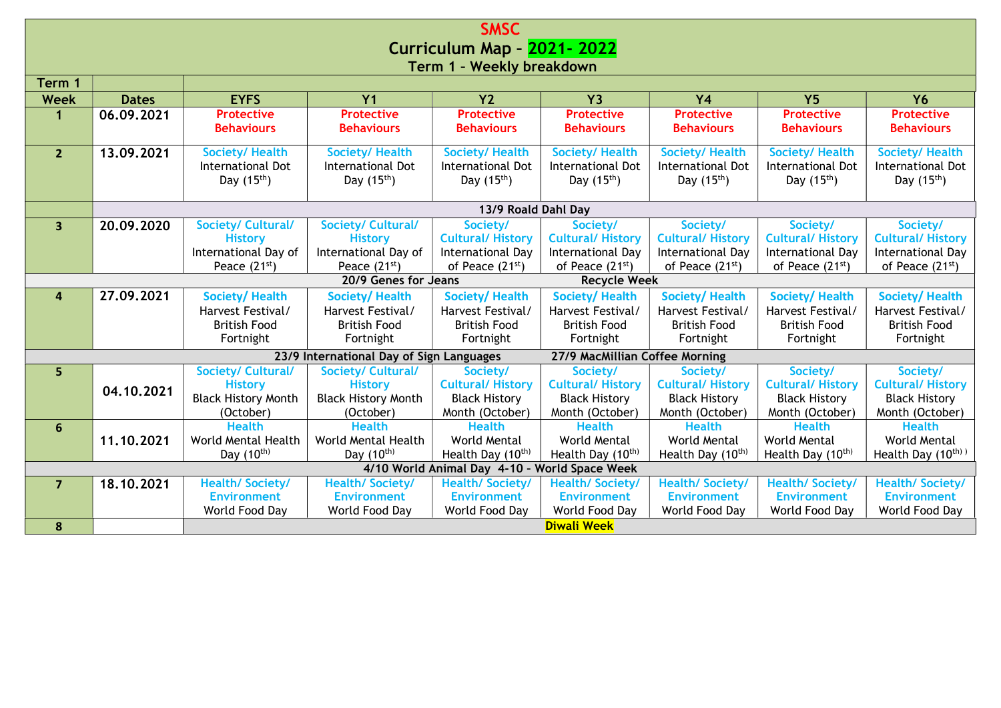| <b>SMSC</b>               |                            |                                            |                                             |                                               |                                             |                                            |                                            |                                             |  |  |
|---------------------------|----------------------------|--------------------------------------------|---------------------------------------------|-----------------------------------------------|---------------------------------------------|--------------------------------------------|--------------------------------------------|---------------------------------------------|--|--|
|                           | Curriculum Map - 2021-2022 |                                            |                                             |                                               |                                             |                                            |                                            |                                             |  |  |
| Term 1 - Weekly breakdown |                            |                                            |                                             |                                               |                                             |                                            |                                            |                                             |  |  |
| Term 1                    |                            |                                            |                                             |                                               |                                             |                                            |                                            |                                             |  |  |
| <b>Week</b>               | <b>Dates</b>               | <b>EYFS</b>                                | $\overline{Y}$                              | $\overline{Y}$                                | $\overline{Y}$                              | $\overline{Y4}$                            | $\overline{Y5}$                            | <b>Y6</b>                                   |  |  |
| 1                         | 06.09.2021                 | <b>Protective</b>                          | <b>Protective</b>                           | <b>Protective</b>                             | <b>Protective</b>                           | <b>Protective</b>                          | <b>Protective</b>                          | <b>Protective</b>                           |  |  |
|                           |                            | <b>Behaviours</b>                          | <b>Behaviours</b>                           | <b>Behaviours</b>                             | <b>Behaviours</b>                           | <b>Behaviours</b>                          | <b>Behaviours</b>                          | <b>Behaviours</b>                           |  |  |
|                           |                            |                                            |                                             |                                               |                                             |                                            |                                            |                                             |  |  |
| 2 <sup>2</sup>            | 13.09.2021                 | <b>Society/Health</b><br>International Dot | <b>Society/ Health</b><br>International Dot | <b>Society/ Health</b><br>International Dot   | <b>Society/ Health</b><br>International Dot | <b>Society/Health</b><br>International Dot | <b>Society/Health</b><br>International Dot | <b>Society/ Health</b><br>International Dot |  |  |
|                           |                            | Day $(15th)$                               | Day $(15th)$                                | Day $(15th)$                                  | Day $(15th)$                                | Day $(15th)$                               | Day $(15th)$                               | Day $(15th)$                                |  |  |
|                           |                            |                                            |                                             |                                               |                                             |                                            |                                            |                                             |  |  |
|                           |                            |                                            |                                             | 13/9 Roald Dahl Day                           |                                             |                                            |                                            |                                             |  |  |
| 3 <sup>1</sup>            | 20.09.2020                 | <b>Society/ Cultural/</b>                  | <b>Society/ Cultural/</b>                   | Society/                                      | Society/                                    | Society/                                   | Society/                                   | Society/                                    |  |  |
|                           |                            | <b>History</b>                             | <b>History</b>                              | <b>Cultural/History</b>                       | <b>Cultural/History</b>                     | <b>Cultural/History</b>                    | <b>Cultural/ History</b>                   | <b>Cultural/History</b>                     |  |  |
|                           |                            | International Day of                       | International Day of                        | International Day                             | International Day                           | International Day                          | International Day                          | International Day                           |  |  |
|                           |                            | Peace $(21^{st})$                          | Peace $(21st)$                              | of Peace (21 <sup>st</sup> )                  | of Peace (21 <sup>st</sup> )                | of Peace (21 <sup>st</sup> )               | of Peace (21 <sup>st</sup> )               | of Peace (21st)                             |  |  |
|                           |                            |                                            | 20/9 Genes for Jeans                        |                                               | <b>Recycle Week</b>                         |                                            |                                            |                                             |  |  |
| $\overline{4}$            | 27.09.2021                 | <b>Society/Health</b>                      | <b>Society/Health</b>                       | <b>Society/Health</b>                         | <b>Society/Health</b>                       | <b>Society/Health</b>                      | Society/Health                             | <b>Society/Health</b>                       |  |  |
|                           |                            | Harvest Festival/                          | Harvest Festival/                           | Harvest Festival/                             | Harvest Festival/                           | Harvest Festival/                          | Harvest Festival/                          | Harvest Festival/                           |  |  |
|                           |                            | <b>British Food</b>                        | <b>British Food</b>                         | <b>British Food</b>                           | <b>British Food</b>                         | <b>British Food</b>                        | <b>British Food</b>                        | <b>British Food</b>                         |  |  |
|                           |                            | Fortnight                                  | Fortnight                                   | Fortnight                                     | Fortnight                                   | Fortnight                                  | Fortnight                                  | Fortnight                                   |  |  |
|                           |                            |                                            | 23/9 International Day of Sign Languages    |                                               | 27/9 MacMillian Coffee Morning              |                                            |                                            |                                             |  |  |
| 5                         |                            | <b>Society/ Cultural/</b>                  | Society/ Cultural/                          | Society/                                      | Society/                                    | Society/                                   | Society/                                   | Society/                                    |  |  |
|                           | 04.10.2021                 | <b>History</b>                             | <b>History</b>                              | <b>Cultural/History</b>                       | <b>Cultural/History</b>                     | <b>Cultural/History</b>                    | <b>Cultural/History</b>                    | <b>Cultural/History</b>                     |  |  |
|                           |                            | <b>Black History Month</b>                 | <b>Black History Month</b>                  | <b>Black History</b>                          | <b>Black History</b>                        | <b>Black History</b>                       | <b>Black History</b>                       | <b>Black History</b>                        |  |  |
|                           |                            | (October)                                  | (October)                                   | Month (October)                               | Month (October)                             | Month (October)                            | Month (October)                            | Month (October)                             |  |  |
| 6                         |                            |                                            |                                             |                                               |                                             |                                            |                                            |                                             |  |  |
|                           |                            | <b>Health</b>                              | <b>Health</b>                               | <b>Health</b>                                 | <b>Health</b>                               | <b>Health</b>                              | <b>Health</b>                              | <b>Health</b>                               |  |  |
|                           | 11.10.2021                 | World Mental Health                        | World Mental Health                         | World Mental                                  | World Mental                                | World Mental                               | World Mental                               | World Mental                                |  |  |
|                           |                            | Day (10 <sup>th)</sup>                     | Day $(10^{th})$                             | Health Day (10 <sup>th)</sup>                 | Health Day (10th)                           | Health Day (10th)                          | Health Day (10th)                          | Health Day $(10^{th})$                      |  |  |
|                           |                            |                                            |                                             | 4/10 World Animal Day 4-10 - World Space Week |                                             |                                            |                                            |                                             |  |  |
| $\overline{7}$            | 18.10.2021                 | <b>Health/Society/</b>                     | <b>Health/ Society/</b>                     | <b>Health/Society/</b>                        | <b>Health/Society/</b>                      | <b>Health/Society/</b>                     | <b>Health/Society/</b>                     | <b>Health/Society/</b>                      |  |  |
|                           |                            | <b>Environment</b>                         | <b>Environment</b>                          | <b>Environment</b>                            | <b>Environment</b>                          | <b>Environment</b>                         | <b>Environment</b>                         | <b>Environment</b>                          |  |  |
| 8                         |                            | World Food Day                             | World Food Day                              | World Food Day                                | World Food Day<br><b>Diwali Week</b>        | World Food Day                             | World Food Day                             | World Food Day                              |  |  |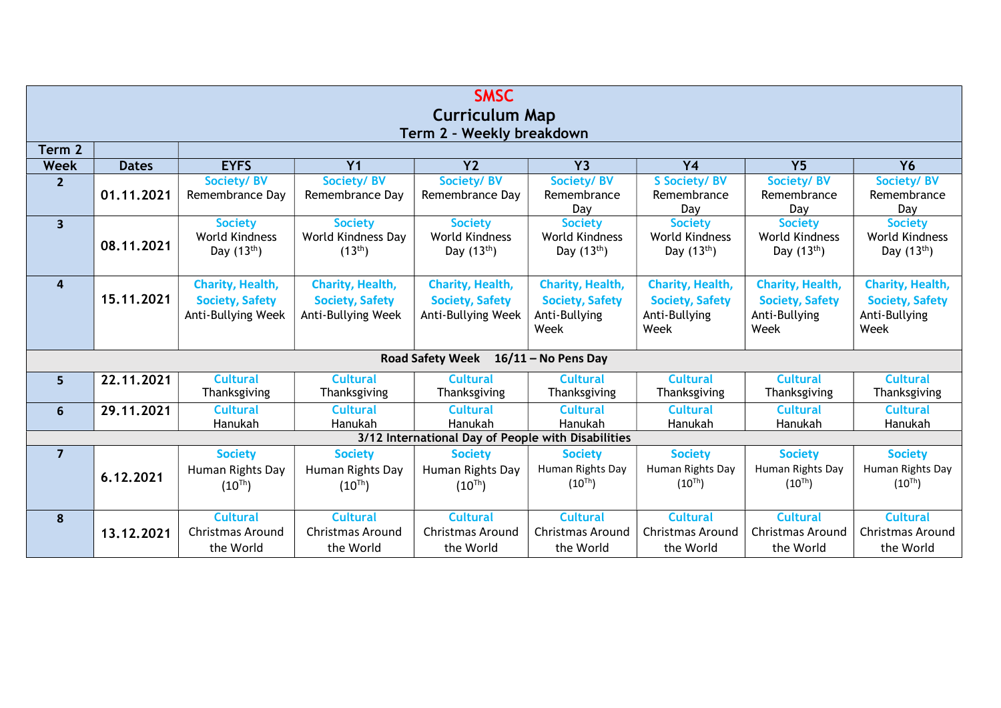| <b>SMSC</b><br><b>Curriculum Map</b><br>Term 2 - Weekly breakdown |              |                                                                  |                                                                  |                                                                  |                                                                            |                                                                     |                                                                     |                                                                            |  |  |  |
|-------------------------------------------------------------------|--------------|------------------------------------------------------------------|------------------------------------------------------------------|------------------------------------------------------------------|----------------------------------------------------------------------------|---------------------------------------------------------------------|---------------------------------------------------------------------|----------------------------------------------------------------------------|--|--|--|
| Term 2                                                            |              |                                                                  |                                                                  |                                                                  |                                                                            |                                                                     |                                                                     |                                                                            |  |  |  |
| <b>Week</b>                                                       | <b>Dates</b> | <b>EYFS</b>                                                      | Y <sub>1</sub>                                                   | Y <sub>2</sub>                                                   | <b>Y3</b>                                                                  | <b>Y4</b>                                                           | Y <sub>5</sub>                                                      | <b>Y6</b>                                                                  |  |  |  |
| $\overline{2}$                                                    | 01.11.2021   | Society/BV<br>Remembrance Day                                    | Society/BV<br>Remembrance Day                                    | Society/BV<br>Remembrance Day                                    | Society/BV<br>Remembrance<br>Day                                           | <b>S Society/ BV</b><br>Remembrance<br>Day                          | Society/BV<br>Remembrance<br>Day                                    | Society/BV<br>Remembrance<br>Day                                           |  |  |  |
| $\overline{\mathbf{3}}$                                           | 08.11.2021   | <b>Society</b><br>World Kindness<br>Day $(13th)$                 | <b>Society</b><br>World Kindness Day<br>$(13^{th})$              | <b>Society</b><br><b>World Kindness</b><br>Day $(13th)$          | <b>Society</b><br>World Kindness<br>Day $(13th)$                           | <b>Society</b><br>World Kindness<br>Day $(13th)$                    | <b>Society</b><br>World Kindness<br>Day $(13th)$                    | <b>Society</b><br>World Kindness<br>Day $(13th)$                           |  |  |  |
| $\overline{4}$                                                    | 15, 11, 2021 | Charity, Health,<br><b>Society, Safety</b><br>Anti-Bullying Week | Charity, Health,<br><b>Society, Safety</b><br>Anti-Bullying Week | Charity, Health,<br><b>Society, Safety</b><br>Anti-Bullying Week | <b>Charity, Health,</b><br><b>Society, Safety</b><br>Anti-Bullying<br>Week | Charity, Health,<br><b>Society, Safety</b><br>Anti-Bullying<br>Week | Charity, Health,<br><b>Society, Safety</b><br>Anti-Bullying<br>Week | <b>Charity, Health,</b><br><b>Society, Safety</b><br>Anti-Bullying<br>Week |  |  |  |
|                                                                   |              |                                                                  |                                                                  | <b>Road Safety Week</b>                                          | $16/11 -$ No Pens Day                                                      |                                                                     |                                                                     |                                                                            |  |  |  |
| 5                                                                 | 22.11.2021   | <b>Cultural</b><br>Thanksgiving                                  | <b>Cultural</b><br>Thanksgiving                                  | <b>Cultural</b><br>Thanksgiving                                  | <b>Cultural</b><br>Thanksgiving                                            | <b>Cultural</b><br>Thanksgiving                                     | <b>Cultural</b><br>Thanksgiving                                     | <b>Cultural</b><br>Thanksgiving                                            |  |  |  |
| 6                                                                 | 29.11.2021   | <b>Cultural</b><br>Hanukah                                       | <b>Cultural</b><br>Hanukah                                       | <b>Cultural</b><br>Hanukah                                       | <b>Cultural</b><br>Hanukah                                                 | <b>Cultural</b><br>Hanukah                                          | <b>Cultural</b><br>Hanukah                                          | <b>Cultural</b><br>Hanukah                                                 |  |  |  |
|                                                                   |              |                                                                  |                                                                  | 3/12 International Day of People with Disabilities               |                                                                            |                                                                     |                                                                     |                                                                            |  |  |  |
| $\overline{7}$                                                    | 6.12.2021    | <b>Society</b><br>Human Rights Day<br>$(10^{Th})$                | <b>Society</b><br>Human Rights Day<br>$(10^{Th})$                | <b>Society</b><br>Human Rights Day<br>$(10^{Th})$                | <b>Society</b><br>Human Rights Day<br>$(10^{Th})$                          | <b>Society</b><br>Human Rights Day<br>$(10^{Th})$                   | <b>Society</b><br>Human Rights Day<br>$(10^{Th})$                   | <b>Society</b><br>Human Rights Day<br>$(10^{Th})$                          |  |  |  |
| 8                                                                 | 13.12.2021   | <b>Cultural</b><br><b>Christmas Around</b><br>the World          | <b>Cultural</b><br><b>Christmas Around</b><br>the World          | <b>Cultural</b><br>Christmas Around<br>the World                 | <b>Cultural</b><br><b>Christmas Around</b><br>the World                    | <b>Cultural</b><br><b>Christmas Around</b><br>the World             | <b>Cultural</b><br>Christmas Around<br>the World                    | <b>Cultural</b><br><b>Christmas Around</b><br>the World                    |  |  |  |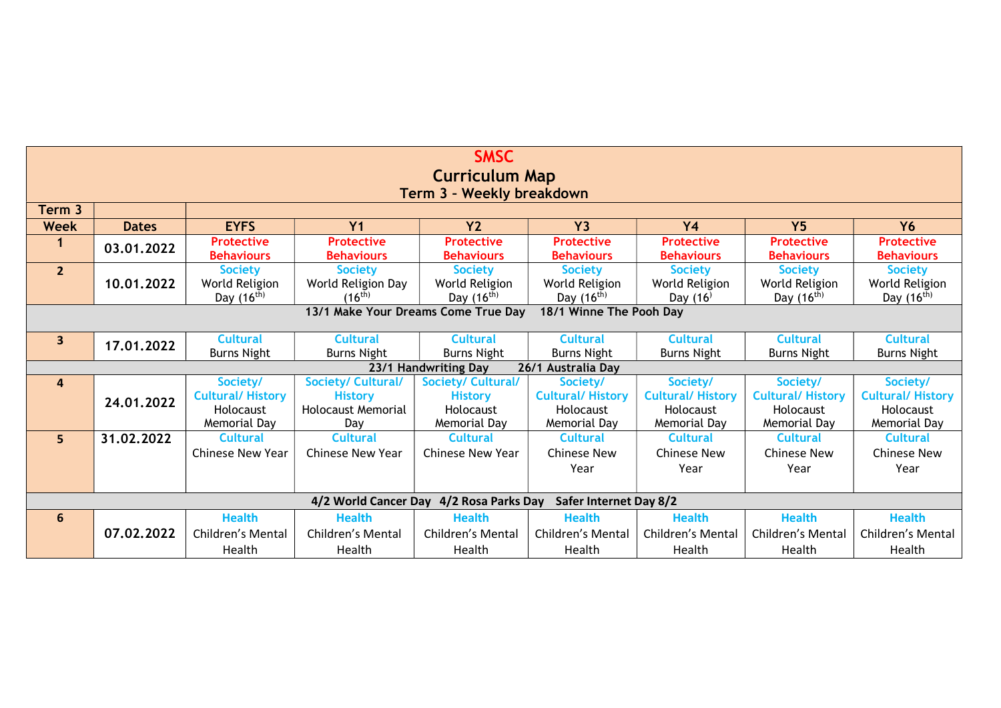| <b>SMSC</b>                                                    |              |                         |                           |                                         |                               |                         |                         |                         |  |
|----------------------------------------------------------------|--------------|-------------------------|---------------------------|-----------------------------------------|-------------------------------|-------------------------|-------------------------|-------------------------|--|
| <b>Curriculum Map</b>                                          |              |                         |                           |                                         |                               |                         |                         |                         |  |
| Term 3 - Weekly breakdown                                      |              |                         |                           |                                         |                               |                         |                         |                         |  |
| Term <sub>3</sub>                                              |              |                         |                           |                                         |                               |                         |                         |                         |  |
| <b>Week</b>                                                    | <b>Dates</b> | <b>EYFS</b>             | Y <sub>1</sub>            | Y <sub>2</sub>                          | <b>Y3</b>                     | <b>Y4</b>               | <b>Y5</b>               | <b>Y6</b>               |  |
|                                                                | 03.01.2022   | <b>Protective</b>       | <b>Protective</b>         | <b>Protective</b>                       | <b>Protective</b>             | <b>Protective</b>       | <b>Protective</b>       | <b>Protective</b>       |  |
|                                                                |              | <b>Behaviours</b>       | <b>Behaviours</b>         | <b>Behaviours</b>                       | <b>Behaviours</b>             | <b>Behaviours</b>       | <b>Behaviours</b>       | <b>Behaviours</b>       |  |
| $\overline{2}$                                                 |              | <b>Society</b>          | <b>Society</b>            | <b>Society</b>                          | <b>Society</b>                | <b>Society</b>          | <b>Society</b>          | <b>Society</b>          |  |
|                                                                | 10.01.2022   | World Religion          | World Religion Day        | World Religion                          | World Religion                | World Religion          | World Religion          | World Religion          |  |
|                                                                |              | Day $(16^{th})$         | $(16^{th})$               | Day $(16^{th})$                         | Day $(16^{th})$               | Day $(16)$              | Day $(16^{th})$         | Day $(16^{th})$         |  |
| 13/1 Make Your Dreams Come True Day<br>18/1 Winne The Pooh Day |              |                         |                           |                                         |                               |                         |                         |                         |  |
|                                                                |              |                         |                           |                                         |                               |                         |                         |                         |  |
| 3 <sup>1</sup>                                                 | 17.01.2022   | <b>Cultural</b>         | <b>Cultural</b>           | <b>Cultural</b>                         | <b>Cultural</b>               | <b>Cultural</b>         | <b>Cultural</b>         | <b>Cultural</b>         |  |
|                                                                |              | <b>Burns Night</b>      | <b>Burns Night</b>        | <b>Burns Night</b>                      | <b>Burns Night</b>            | <b>Burns Night</b>      | <b>Burns Night</b>      | <b>Burns Night</b>      |  |
|                                                                |              |                         |                           | 23/1 Handwriting Day                    | 26/1 Australia Day            |                         |                         |                         |  |
| $\overline{4}$                                                 |              | Society/                | Society/ Cultural/        | Society/ Cultural/                      | Society/                      | Society/                | Society/                | Society/                |  |
|                                                                | 24.01.2022   | <b>Cultural/History</b> | <b>History</b>            | <b>History</b>                          | <b>Cultural/History</b>       | <b>Cultural/History</b> | <b>Cultural/History</b> | <b>Cultural/History</b> |  |
|                                                                |              | Holocaust               | <b>Holocaust Memorial</b> | <b>Holocaust</b>                        | Holocaust                     | Holocaust               | Holocaust               | Holocaust               |  |
|                                                                |              | Memorial Day            | Day                       | Memorial Day                            | Memorial Day                  | Memorial Day            | Memorial Day            | Memorial Day            |  |
| 5 <sup>1</sup>                                                 | 31.02.2022   | <b>Cultural</b>         | <b>Cultural</b>           | <b>Cultural</b>                         | <b>Cultural</b>               | <b>Cultural</b>         | <b>Cultural</b>         | <b>Cultural</b>         |  |
|                                                                |              | <b>Chinese New Year</b> | <b>Chinese New Year</b>   | Chinese New Year                        | <b>Chinese New</b>            | <b>Chinese New</b>      | <b>Chinese New</b>      | <b>Chinese New</b>      |  |
|                                                                |              |                         |                           |                                         | Year                          | Year                    | Year                    | Year                    |  |
|                                                                |              |                         |                           |                                         |                               |                         |                         |                         |  |
|                                                                |              |                         |                           | 4/2 World Cancer Day 4/2 Rosa Parks Day | <b>Safer Internet Day 8/2</b> |                         |                         |                         |  |
| 6                                                              |              | <b>Health</b>           | <b>Health</b>             | <b>Health</b>                           | <b>Health</b>                 | <b>Health</b>           | <b>Health</b>           | <b>Health</b>           |  |
|                                                                | 07.02.2022   | Children's Mental       | Children's Mental         | Children's Mental                       | Children's Mental             | Children's Mental       | Children's Mental       | Children's Mental       |  |
|                                                                |              | Health                  | Health                    | Health                                  | Health                        | Health                  | Health                  | Health                  |  |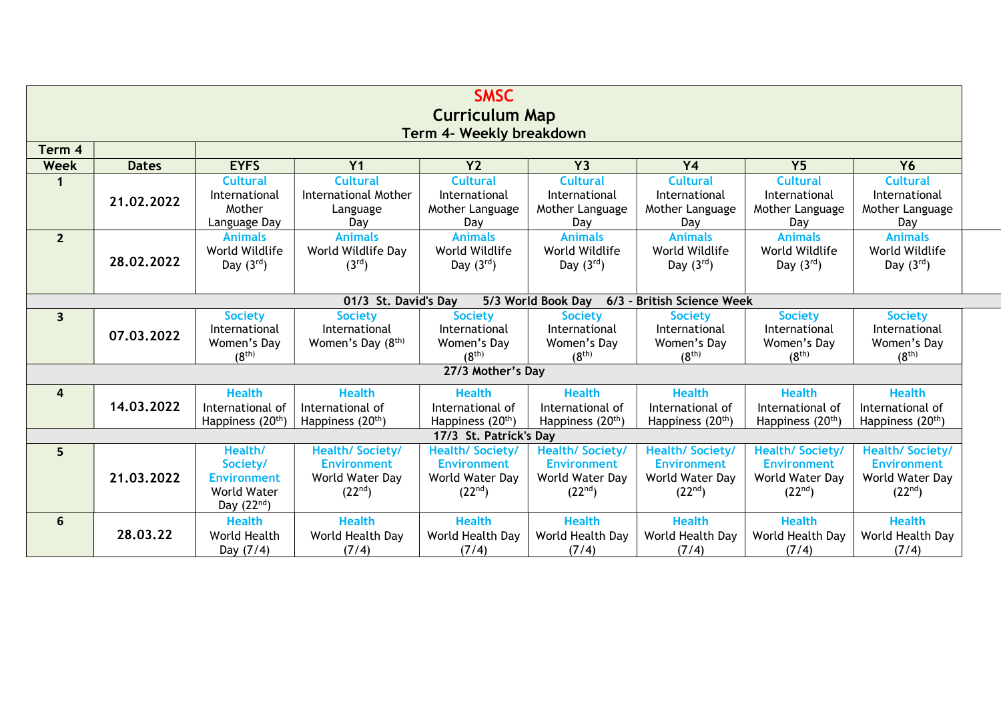| <b>SMSC</b>              |                                                                          |                               |                               |                               |                               |                               |                               |                               |  |  |  |
|--------------------------|--------------------------------------------------------------------------|-------------------------------|-------------------------------|-------------------------------|-------------------------------|-------------------------------|-------------------------------|-------------------------------|--|--|--|
| <b>Curriculum Map</b>    |                                                                          |                               |                               |                               |                               |                               |                               |                               |  |  |  |
| Term 4- Weekly breakdown |                                                                          |                               |                               |                               |                               |                               |                               |                               |  |  |  |
| Term 4                   |                                                                          |                               |                               |                               |                               |                               |                               |                               |  |  |  |
| <b>Week</b>              | <b>Dates</b>                                                             | <b>EYFS</b>                   | Y <sub>1</sub>                | Y <sub>2</sub>                | <b>Y3</b>                     | <b>Y4</b>                     | Y <sub>5</sub>                | <b>Y6</b>                     |  |  |  |
| 1                        |                                                                          | <b>Cultural</b>               | <b>Cultural</b>               | <b>Cultural</b>               | <b>Cultural</b>               | <b>Cultural</b>               | <b>Cultural</b>               | <b>Cultural</b>               |  |  |  |
|                          | 21.02.2022                                                               | International                 | <b>International Mother</b>   | International                 | International                 | International                 | International                 | International                 |  |  |  |
|                          |                                                                          | Mother                        | Language                      | Mother Language               | Mother Language               | Mother Language               | Mother Language               | Mother Language               |  |  |  |
|                          |                                                                          | Language Day                  | Dav                           | Dav                           | Day                           | Day                           | Day                           | Day                           |  |  |  |
| $\overline{2}$           |                                                                          | <b>Animals</b>                | <b>Animals</b>                | <b>Animals</b>                | <b>Animals</b>                | <b>Animals</b>                | <b>Animals</b>                | <b>Animals</b>                |  |  |  |
|                          | 28.02.2022                                                               | World Wildlife                | World Wildlife Day            | World Wildlife                | World Wildlife                | World Wildlife                | World Wildlife                | World Wildlife                |  |  |  |
|                          |                                                                          | Day $(3^{rd})$                | (3 <sup>rd</sup> )            | Day $(3^{rd})$                | Day $(3^{rd})$                | Day $(3^{rd})$                | Day $(3^{rd})$                | Day $(3^{rd})$                |  |  |  |
|                          |                                                                          |                               |                               |                               |                               |                               |                               |                               |  |  |  |
|                          | 01/3 St. David's Day<br>5/3 World Book Day<br>6/3 - British Science Week |                               |                               |                               |                               |                               |                               |                               |  |  |  |
| $\overline{\mathbf{3}}$  |                                                                          | <b>Society</b>                | <b>Society</b>                | <b>Society</b>                | <b>Society</b>                | <b>Society</b>                | <b>Society</b>                | <b>Society</b>                |  |  |  |
|                          | 07.03.2022                                                               | International                 | International                 | International                 | International                 | International                 | International                 | International                 |  |  |  |
|                          |                                                                          | Women's Day                   | Women's Day (8 <sup>th)</sup> | Women's Day                   | Women's Day                   | Women's Day                   | Women's Day                   | Women's Day                   |  |  |  |
|                          |                                                                          | (8 <sup>th</sup> )            |                               | (8 <sup>th</sup> )            | (8 <sup>th</sup> )            | (8 <sup>th</sup> )            | (8 <sup>th</sup> )            | (8 <sup>th</sup> )            |  |  |  |
|                          |                                                                          |                               |                               | 27/3 Mother's Day             |                               |                               |                               |                               |  |  |  |
| $\overline{\mathbf{a}}$  |                                                                          | <b>Health</b>                 | <b>Health</b>                 | <b>Health</b>                 | <b>Health</b>                 | <b>Health</b>                 | <b>Health</b>                 | <b>Health</b>                 |  |  |  |
|                          | 14.03.2022                                                               | International of              | International of              | International of              | International of              | International of              | International of              | International of              |  |  |  |
|                          |                                                                          | Happiness (20 <sup>th</sup> ) | Happiness (20 <sup>th</sup> ) | Happiness (20 <sup>th</sup> ) | Happiness (20 <sup>th</sup> ) | Happiness (20 <sup>th</sup> ) | Happiness (20 <sup>th</sup> ) | Happiness (20 <sup>th</sup> ) |  |  |  |
|                          |                                                                          |                               |                               | 17/3 St. Patrick's Day        |                               |                               |                               |                               |  |  |  |
| 5                        |                                                                          | Health/                       | <b>Health/Society/</b>        | <b>Health/Society/</b>        | <b>Health/Society/</b>        | <b>Health/Society/</b>        | <b>Health/Society/</b>        | <b>Health/Society/</b>        |  |  |  |
|                          |                                                                          | Society/                      | <b>Environment</b>            | <b>Environment</b>            | <b>Environment</b>            | <b>Environment</b>            | <b>Environment</b>            | <b>Environment</b>            |  |  |  |
|                          | 21.03.2022                                                               | <b>Environment</b>            | World Water Day               | World Water Day               | World Water Day               | World Water Day               | World Water Day               | World Water Day               |  |  |  |
|                          |                                                                          | World Water                   | (22 <sup>nd</sup> )           | (22 <sup>nd</sup> )           | (22 <sup>nd</sup> )           | (22 <sup>nd</sup> )           | (22 <sup>nd</sup> )           | (22 <sup>nd</sup> )           |  |  |  |
|                          |                                                                          | Day $(22nd)$                  |                               |                               |                               |                               |                               |                               |  |  |  |
| $6\phantom{1}6$          |                                                                          | <b>Health</b>                 | <b>Health</b>                 | <b>Health</b>                 | <b>Health</b>                 | <b>Health</b>                 | <b>Health</b>                 | <b>Health</b>                 |  |  |  |
|                          | 28.03.22                                                                 | World Health                  | World Health Day              | World Health Day              | World Health Day              | World Health Day              | World Health Day              | World Health Day              |  |  |  |
|                          |                                                                          | Day (7/4)                     | (7/4)                         | (7/4)                         | (7/4)                         | (7/4)                         | (7/4)                         | (7/4)                         |  |  |  |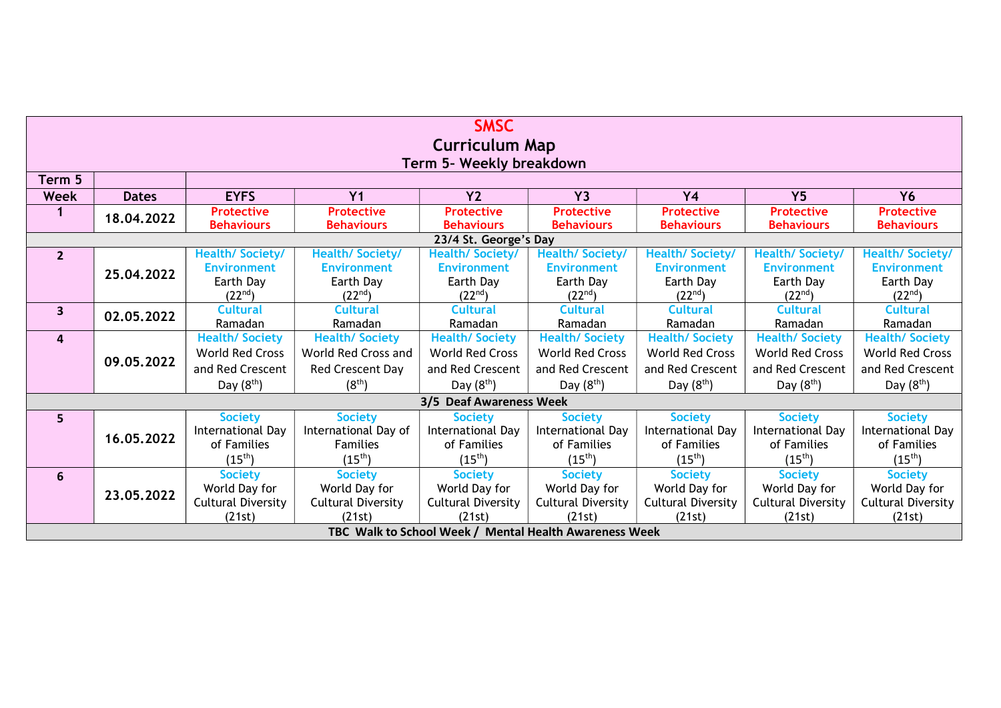| <b>SMSC</b>              |              |                                  |                                  |                                                        |                                  |                                  |                                  |                                  |  |  |
|--------------------------|--------------|----------------------------------|----------------------------------|--------------------------------------------------------|----------------------------------|----------------------------------|----------------------------------|----------------------------------|--|--|
| <b>Curriculum Map</b>    |              |                                  |                                  |                                                        |                                  |                                  |                                  |                                  |  |  |
| Term 5- Weekly breakdown |              |                                  |                                  |                                                        |                                  |                                  |                                  |                                  |  |  |
| Term 5                   |              |                                  |                                  |                                                        |                                  |                                  |                                  |                                  |  |  |
| Week                     | <b>Dates</b> | <b>EYFS</b>                      | Y <sub>1</sub>                   | Y <sub>2</sub>                                         | <b>Y3</b>                        | <b>Y4</b>                        | Y <sub>5</sub>                   | <b>Y6</b>                        |  |  |
| 1                        | 18,04,2022   | <b>Protective</b>                | <b>Protective</b>                | <b>Protective</b>                                      | <b>Protective</b>                | <b>Protective</b>                | <b>Protective</b>                | <b>Protective</b>                |  |  |
|                          |              | <b>Behaviours</b>                | <b>Behaviours</b>                | <b>Behaviours</b>                                      | <b>Behaviours</b>                | <b>Behaviours</b>                | <b>Behaviours</b>                | <b>Behaviours</b>                |  |  |
|                          |              |                                  |                                  | 23/4 St. George's Day                                  |                                  |                                  |                                  |                                  |  |  |
| $\overline{2}$           |              | <b>Health/Society/</b>           | <b>Health/Society/</b>           | <b>Health/Society/</b>                                 | <b>Health/Society/</b>           | <b>Health/Society/</b>           | Health/ Society/                 | <b>Health/Society/</b>           |  |  |
|                          | 25.04.2022   | <b>Environment</b>               | <b>Environment</b>               | <b>Environment</b>                                     | <b>Environment</b>               | <b>Environment</b>               | <b>Environment</b>               | <b>Environment</b>               |  |  |
|                          |              | Earth Day                        | Earth Day                        | Earth Day                                              | Earth Day                        | Earth Day                        | Earth Day                        | Earth Day                        |  |  |
|                          |              | (22 <sup>nd</sup> )              | (22 <sup>nd</sup> )              | $(22^{nd})$                                            | $(22^{nd})$                      | $(22^{nd})$                      | $(22^{nd})$                      | (22 <sup>nd</sup> )              |  |  |
| $\mathbf{3}$             | 02.05.2022   | <b>Cultural</b>                  | <b>Cultural</b>                  | <b>Cultural</b>                                        | <b>Cultural</b>                  | <b>Cultural</b>                  | <b>Cultural</b>                  | <b>Cultural</b>                  |  |  |
|                          |              | Ramadan<br><b>Health/Society</b> | Ramadan<br><b>Health/Society</b> | Ramadan<br><b>Health/Society</b>                       | Ramadan<br><b>Health/Society</b> | Ramadan<br><b>Health/Society</b> | Ramadan<br><b>Health/Society</b> | Ramadan<br><b>Health/Society</b> |  |  |
| 4                        |              | <b>World Red Cross</b>           | World Red Cross and              | <b>World Red Cross</b>                                 | <b>World Red Cross</b>           | <b>World Red Cross</b>           | <b>World Red Cross</b>           | <b>World Red Cross</b>           |  |  |
|                          | 09.05.2022   |                                  |                                  |                                                        |                                  |                                  |                                  |                                  |  |  |
|                          |              | and Red Crescent                 | Red Crescent Day                 | and Red Crescent                                       | and Red Crescent                 | and Red Crescent                 | and Red Crescent                 | and Red Crescent                 |  |  |
|                          |              | Day $(8th)$                      | $(8^{th})$                       | Day $(8th)$                                            | Day $(8th)$                      | Day $(8th)$                      | Day $(8th)$                      | Day $(8th)$                      |  |  |
|                          |              |                                  |                                  | 3/5 Deaf Awareness Week                                |                                  |                                  |                                  |                                  |  |  |
| 5                        |              | <b>Society</b>                   | <b>Society</b>                   | <b>Society</b>                                         | <b>Society</b>                   | <b>Society</b>                   | <b>Society</b>                   | <b>Society</b>                   |  |  |
|                          | 16.05.2022   | International Day                | International Day of             | International Day                                      | International Day                | International Day                | International Day                | International Day                |  |  |
|                          |              | of Families                      | <b>Families</b>                  | of Families                                            | of Families                      | of Families                      | of Families                      | of Families                      |  |  |
|                          |              | $(15^{th})$                      | $(15^{th})$                      | $(15^{th})$                                            | $(15^{th})$                      | $(15^{th})$                      | $(15^{th})$                      | $(15^{th})$                      |  |  |
| 6                        |              | <b>Society</b>                   | <b>Society</b>                   | <b>Society</b>                                         | <b>Society</b>                   | <b>Society</b>                   | <b>Society</b>                   | <b>Society</b>                   |  |  |
|                          | 23.05.2022   | World Day for                    | World Day for                    | World Day for                                          | World Day for                    | World Day for                    | World Day for                    | World Day for                    |  |  |
|                          |              | <b>Cultural Diversity</b>        | <b>Cultural Diversity</b>        | <b>Cultural Diversity</b>                              | <b>Cultural Diversity</b>        | <b>Cultural Diversity</b>        | <b>Cultural Diversity</b>        | <b>Cultural Diversity</b>        |  |  |
|                          |              | (21st)                           | (21st)                           | (21st)                                                 | (21st)                           | (21st)                           | (21st)                           | (21st)                           |  |  |
|                          |              |                                  |                                  | TBC Walk to School Week / Mental Health Awareness Week |                                  |                                  |                                  |                                  |  |  |